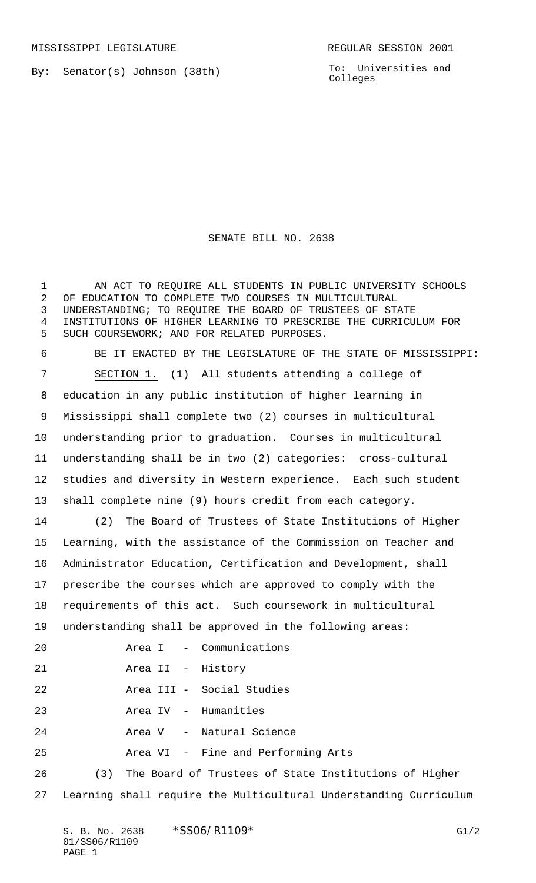By: Senator(s) Johnson (38th)

To: Universities and Colleges

## SENATE BILL NO. 2638

 AN ACT TO REQUIRE ALL STUDENTS IN PUBLIC UNIVERSITY SCHOOLS OF EDUCATION TO COMPLETE TWO COURSES IN MULTICULTURAL UNDERSTANDING; TO REQUIRE THE BOARD OF TRUSTEES OF STATE INSTITUTIONS OF HIGHER LEARNING TO PRESCRIBE THE CURRICULUM FOR SUCH COURSEWORK; AND FOR RELATED PURPOSES. BE IT ENACTED BY THE LEGISLATURE OF THE STATE OF MISSISSIPPI: SECTION 1. (1) All students attending a college of education in any public institution of higher learning in Mississippi shall complete two (2) courses in multicultural understanding prior to graduation. Courses in multicultural understanding shall be in two (2) categories: cross-cultural studies and diversity in Western experience. Each such student shall complete nine (9) hours credit from each category. (2) The Board of Trustees of State Institutions of Higher Learning, with the assistance of the Commission on Teacher and Administrator Education, Certification and Development, shall prescribe the courses which are approved to comply with the requirements of this act. Such coursework in multicultural understanding shall be approved in the following areas: Area I - Communications Area II - History Area III - Social Studies Area IV - Humanities Area V - Natural Science Area VI - Fine and Performing Arts (3) The Board of Trustees of State Institutions of Higher Learning shall require the Multicultural Understanding Curriculum